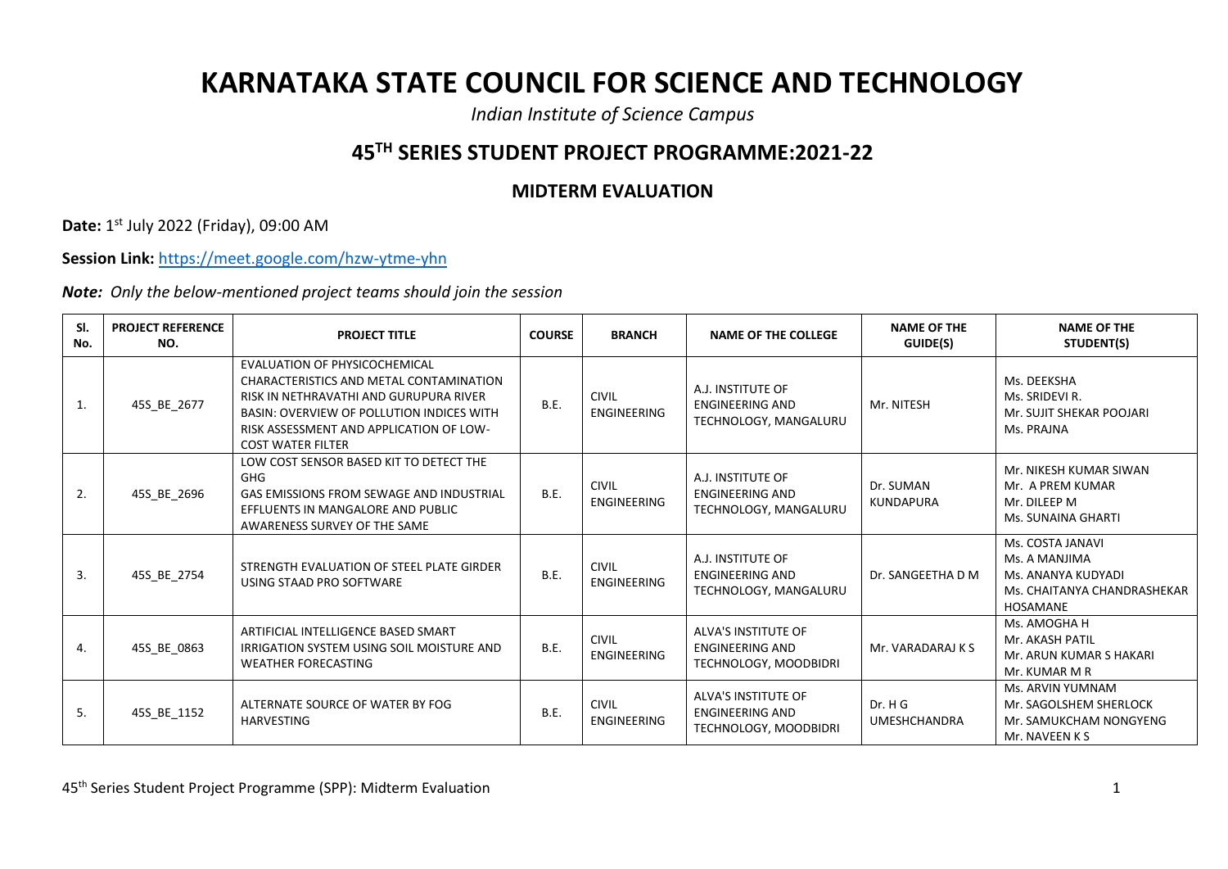## **KARNATAKA STATE COUNCIL FOR SCIENCE AND TECHNOLOGY**

*Indian Institute of Science Campus*

## **45TH SERIES STUDENT PROJECT PROGRAMME:2021-22**

## **MIDTERM EVALUATION**

**Date:** 1 st July 2022 (Friday), 09:00 AM

**Session Link:** <https://meet.google.com/hzw-ytme-yhn>

*Note: Only the below-mentioned project teams should join the session*

| SI.<br>No. | <b>PROJECT REFERENCE</b><br>NO. | <b>PROJECT TITLE</b>                                                                                                                                                                                                                   | <b>COURSE</b> | <b>BRANCH</b>                      | <b>NAME OF THE COLLEGE</b>                                             | <b>NAME OF THE</b><br>GUIDE(S) | <b>NAME OF THE</b><br>STUDENT(S)                                                                          |
|------------|---------------------------------|----------------------------------------------------------------------------------------------------------------------------------------------------------------------------------------------------------------------------------------|---------------|------------------------------------|------------------------------------------------------------------------|--------------------------------|-----------------------------------------------------------------------------------------------------------|
| 1.         | 45S BE 2677                     | EVALUATION OF PHYSICOCHEMICAL<br>CHARACTERISTICS AND METAL CONTAMINATION<br>RISK IN NETHRAVATHI AND GURUPURA RIVER<br>BASIN: OVERVIEW OF POLLUTION INDICES WITH<br>RISK ASSESSMENT AND APPLICATION OF LOW-<br><b>COST WATER FILTER</b> | B.E.          | <b>CIVIL</b><br>ENGINEERING        | A.J. INSTITUTE OF<br><b>ENGINEERING AND</b><br>TECHNOLOGY, MANGALURU   | Mr. NITESH                     | Ms. DEEKSHA<br>Ms. SRIDEVI R.<br>Mr. SUJIT SHEKAR POOJARI<br>Ms. PRAJNA                                   |
| 2.         | 45S BE 2696                     | LOW COST SENSOR BASED KIT TO DETECT THE<br>GHG<br>GAS EMISSIONS FROM SEWAGE AND INDUSTRIAL<br>EFFLUENTS IN MANGALORE AND PUBLIC<br>AWARENESS SURVEY OF THE SAME                                                                        | <b>B.E.</b>   | <b>CIVIL</b><br><b>ENGINEERING</b> | A.J. INSTITUTE OF<br><b>ENGINEERING AND</b><br>TECHNOLOGY, MANGALURU   | Dr. SUMAN<br>KUNDAPURA         | Mr. NIKESH KUMAR SIWAN<br>Mr. A PREM KUMAR<br>Mr. DILEEP M<br>Ms. SUNAINA GHARTI                          |
| 3.         | 45S BE 2754                     | STRENGTH EVALUATION OF STEEL PLATE GIRDER<br>USING STAAD PRO SOFTWARE                                                                                                                                                                  | B.E.          | <b>CIVIL</b><br><b>ENGINEERING</b> | A.J. INSTITUTE OF<br>ENGINEERING AND<br>TECHNOLOGY, MANGALURU          | Dr. SANGEETHA D M              | Ms. COSTA JANAVI<br>Ms. A MANJIMA<br>Ms. ANANYA KUDYADI<br>Ms. CHAITANYA CHANDRASHEKAR<br><b>HOSAMANE</b> |
| 4.         | 45S_BE_0863                     | ARTIFICIAL INTELLIGENCE BASED SMART<br><b>IRRIGATION SYSTEM USING SOIL MOISTURE AND</b><br><b>WEATHER FORECASTING</b>                                                                                                                  | <b>B.E.</b>   | <b>CIVIL</b><br><b>ENGINEERING</b> | ALVA'S INSTITUTE OF<br><b>ENGINEERING AND</b><br>TECHNOLOGY, MOODBIDRI | Mr. VARADARAJ K S              | Ms. AMOGHA H<br>Mr. AKASH PATIL<br>Mr. ARUN KUMAR S HAKARI<br>Mr. KUMAR M R                               |
| 5.         | 45S_BE_1152                     | ALTERNATE SOURCE OF WATER BY FOG<br><b>HARVESTING</b>                                                                                                                                                                                  | <b>B.E.</b>   | <b>CIVIL</b><br><b>ENGINEERING</b> | ALVA'S INSTITUTE OF<br>ENGINEERING AND<br>TECHNOLOGY, MOODBIDRI        | Dr. H G<br><b>UMESHCHANDRA</b> | Ms. ARVIN YUMNAM<br>Mr. SAGOLSHEM SHERLOCK<br>Mr. SAMUKCHAM NONGYENG<br>Mr. NAVEEN K S                    |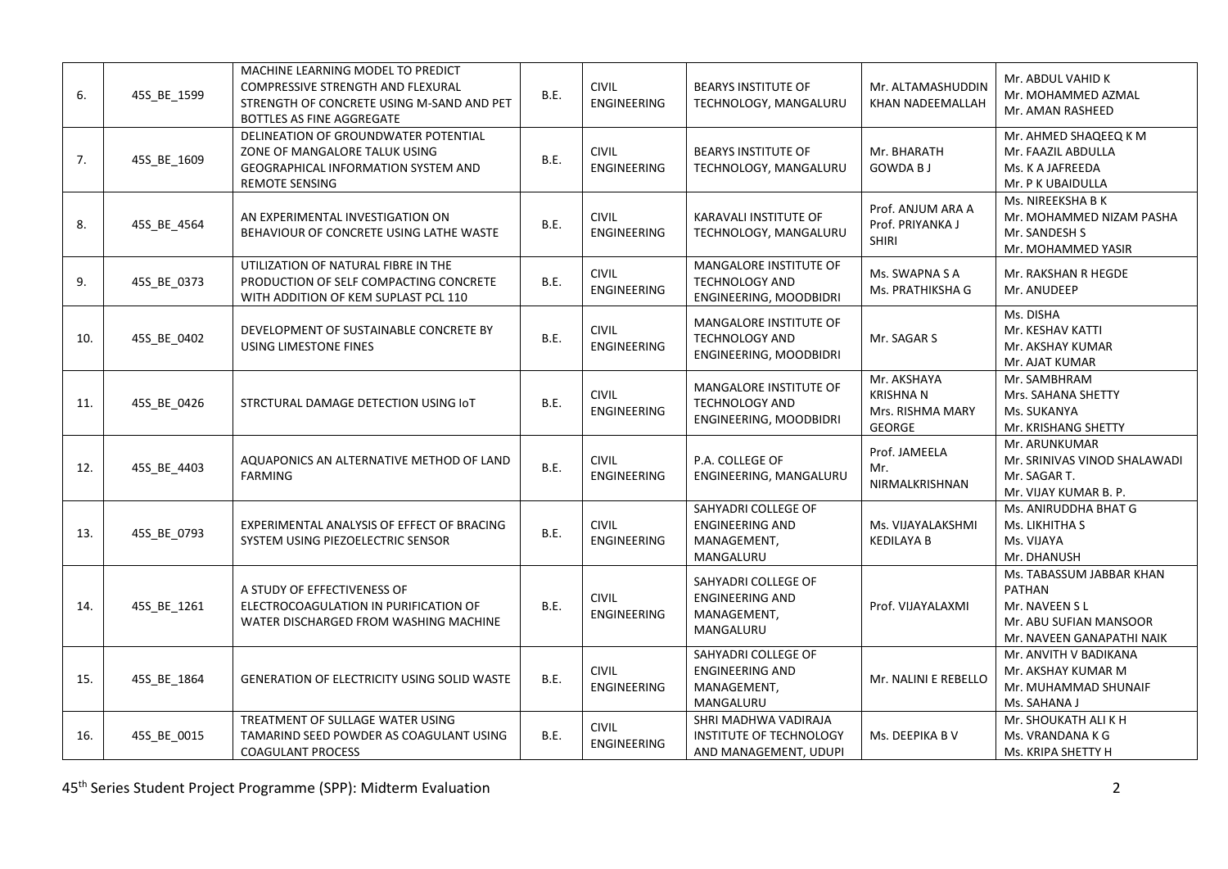| 6.  | 45S_BE_1599 | MACHINE LEARNING MODEL TO PREDICT<br>COMPRESSIVE STRENGTH AND FLEXURAL<br>STRENGTH OF CONCRETE USING M-SAND AND PET<br>BOTTLES AS FINE AGGREGATE | B.E.        | <b>CIVIL</b><br><b>ENGINEERING</b> | <b>BEARYS INSTITUTE OF</b><br>TECHNOLOGY, MANGALURU                       | Mr. ALTAMASHUDDIN<br>KHAN NADEEMALLAH                        | Mr. ABDUL VAHID K<br>Mr. MOHAMMED AZMAL<br>Mr. AMAN RASHEED                                                       |
|-----|-------------|--------------------------------------------------------------------------------------------------------------------------------------------------|-------------|------------------------------------|---------------------------------------------------------------------------|--------------------------------------------------------------|-------------------------------------------------------------------------------------------------------------------|
| 7.  | 45S BE 1609 | DELINEATION OF GROUNDWATER POTENTIAL<br>ZONE OF MANGALORE TALUK USING<br><b>GEOGRAPHICAL INFORMATION SYSTEM AND</b><br><b>REMOTE SENSING</b>     | <b>B.E.</b> | <b>CIVIL</b><br><b>ENGINEERING</b> | <b>BEARYS INSTITUTE OF</b><br>TECHNOLOGY, MANGALURU                       | Mr. BHARATH<br><b>GOWDA BJ</b>                               | Mr. AHMED SHAQEEQ K M<br>Mr. FAAZIL ABDULLA<br>Ms. K A JAFREEDA<br>Mr. P K UBAIDULLA                              |
| 8.  | 45S_BE_4564 | AN EXPERIMENTAL INVESTIGATION ON<br>BEHAVIOUR OF CONCRETE USING LATHE WASTE                                                                      | <b>B.E.</b> | <b>CIVIL</b><br>ENGINEERING        | KARAVALI INSTITUTE OF<br>TECHNOLOGY, MANGALURU                            | Prof. ANJUM ARA A<br>Prof. PRIYANKA J<br><b>SHIRI</b>        | Ms. NIREEKSHA B K<br>Mr. MOHAMMED NIZAM PASHA<br>Mr. SANDESH S<br>Mr. MOHAMMED YASIR                              |
| 9.  | 45S BE 0373 | UTILIZATION OF NATURAL FIBRE IN THE<br>PRODUCTION OF SELF COMPACTING CONCRETE<br>WITH ADDITION OF KEM SUPLAST PCL 110                            | B.E.        | <b>CIVIL</b><br>ENGINEERING        | MANGALORE INSTITUTE OF<br>TECHNOLOGY AND<br>ENGINEERING, MOODBIDRI        | Ms. SWAPNA S A<br>Ms. PRATHIKSHA G                           | Mr. RAKSHAN R HEGDE<br>Mr. ANUDEEP                                                                                |
| 10. | 45S_BE_0402 | DEVELOPMENT OF SUSTAINABLE CONCRETE BY<br>USING LIMESTONE FINES                                                                                  | <b>B.E.</b> | <b>CIVIL</b><br>ENGINEERING        | MANGALORE INSTITUTE OF<br><b>TECHNOLOGY AND</b><br>ENGINEERING, MOODBIDRI | Mr. SAGAR S                                                  | Ms. DISHA<br>Mr. KESHAV KATTI<br>Mr. AKSHAY KUMAR<br>Mr. AJAT KUMAR                                               |
| 11. | 45S_BE_0426 | STRCTURAL DAMAGE DETECTION USING IOT                                                                                                             | B.E.        | <b>CIVIL</b><br>ENGINEERING        | MANGALORE INSTITUTE OF<br>TECHNOLOGY AND<br>ENGINEERING, MOODBIDRI        | Mr. AKSHAYA<br><b>KRISHNAN</b><br>Mrs. RISHMA MARY<br>GEORGE | Mr. SAMBHRAM<br>Mrs. SAHANA SHETTY<br>Ms. SUKANYA<br>Mr. KRISHANG SHETTY                                          |
| 12. | 45S_BE_4403 | AQUAPONICS AN ALTERNATIVE METHOD OF LAND<br><b>FARMING</b>                                                                                       | B.E.        | <b>CIVIL</b><br>ENGINEERING        | P.A. COLLEGE OF<br>ENGINEERING, MANGALURU                                 | Prof. JAMEELA<br>Mr.<br>NIRMALKRISHNAN                       | Mr. ARUNKUMAR<br>Mr. SRINIVAS VINOD SHALAWADI<br>Mr. SAGAR T.<br>Mr. VIJAY KUMAR B. P.                            |
| 13. | 45S_BE_0793 | EXPERIMENTAL ANALYSIS OF EFFECT OF BRACING<br>SYSTEM USING PIEZOELECTRIC SENSOR                                                                  | B.E.        | <b>CIVIL</b><br><b>ENGINEERING</b> | SAHYADRI COLLEGE OF<br><b>ENGINEERING AND</b><br>MANAGEMENT,<br>MANGALURU | Ms. VIJAYALAKSHMI<br><b>KEDILAYA B</b>                       | Ms. ANIRUDDHA BHAT G<br>Ms. LIKHITHA S<br>Ms. VIJAYA<br>Mr. DHANUSH                                               |
| 14. | 45S_BE_1261 | A STUDY OF EFFECTIVENESS OF<br>ELECTROCOAGULATION IN PURIFICATION OF<br>WATER DISCHARGED FROM WASHING MACHINE                                    | B.E.        | <b>CIVIL</b><br>ENGINEERING        | SAHYADRI COLLEGE OF<br><b>ENGINEERING AND</b><br>MANAGEMENT,<br>MANGALURU | Prof. VIJAYALAXMI                                            | Ms. TABASSUM JABBAR KHAN<br><b>PATHAN</b><br>Mr. NAVEEN SL<br>Mr. ABU SUFIAN MANSOOR<br>Mr. NAVEEN GANAPATHI NAIK |
| 15. | 45S_BE_1864 | <b>GENERATION OF ELECTRICITY USING SOLID WASTE</b>                                                                                               | B.E.        | <b>CIVIL</b><br>ENGINEERING        | SAHYADRI COLLEGE OF<br><b>ENGINEERING AND</b><br>MANAGEMENT,<br>MANGALURU | Mr. NALINI E REBELLO                                         | Mr. ANVITH V BADIKANA<br>Mr. AKSHAY KUMAR M<br>Mr. MUHAMMAD SHUNAIF<br>Ms. SAHANA J                               |
| 16. | 45S_BE_0015 | TREATMENT OF SULLAGE WATER USING<br>TAMARIND SEED POWDER AS COAGULANT USING<br><b>COAGULANT PROCESS</b>                                          | B.E.        | <b>CIVIL</b><br>ENGINEERING        | SHRI MADHWA VADIRAJA<br>INSTITUTE OF TECHNOLOGY<br>AND MANAGEMENT, UDUPI  | Ms. DEEPIKA B V                                              | Mr. SHOUKATH ALI K H<br>Ms. VRANDANA K G<br>Ms. KRIPA SHETTY H                                                    |